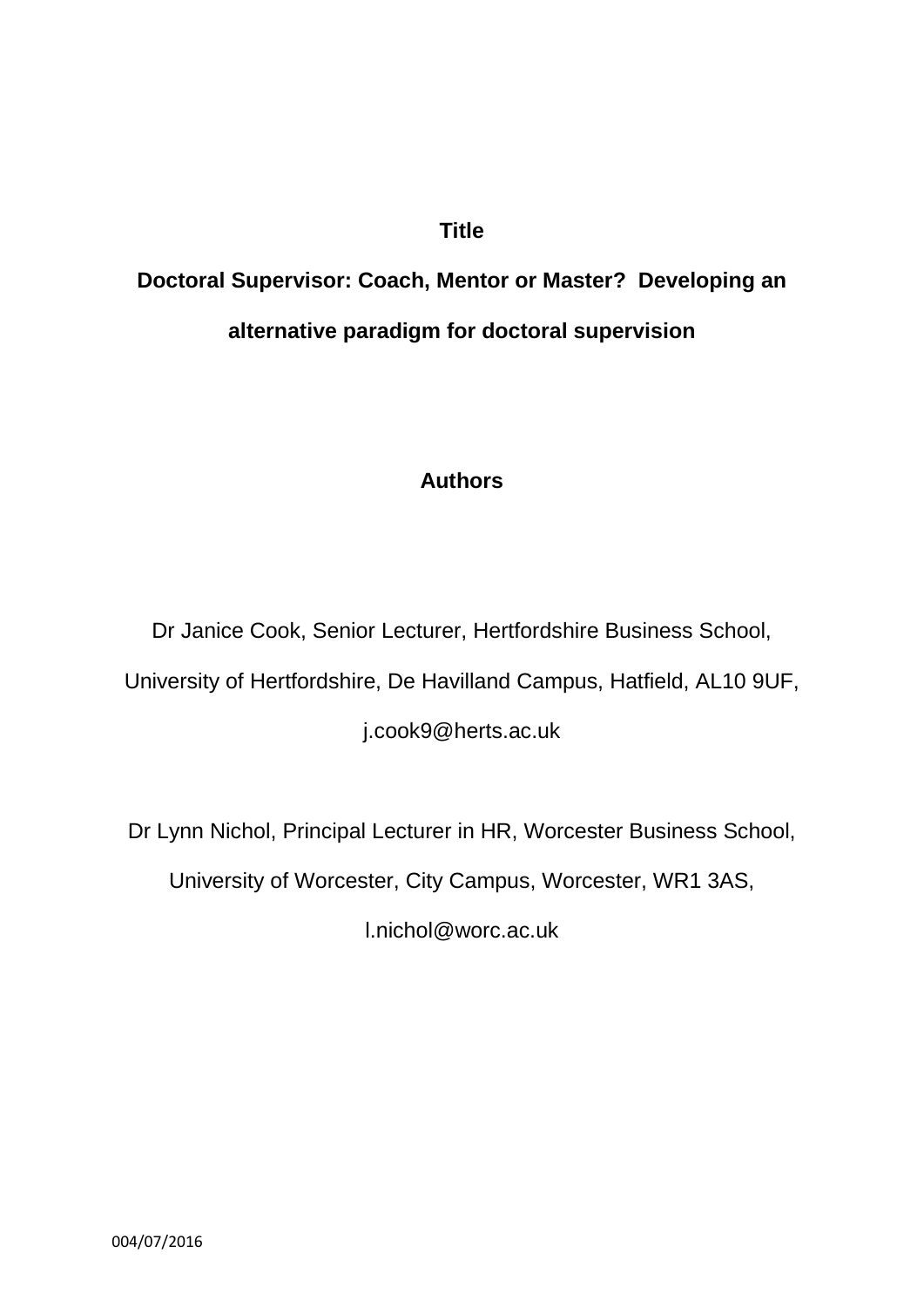# **Title**

# **Doctoral Supervisor: Coach, Mentor or Master? Developing an alternative paradigm for doctoral supervision**

# **Authors**

Dr Janice Cook, Senior Lecturer, Hertfordshire Business School, University of Hertfordshire, De Havilland Campus, Hatfield, AL10 9UF,

j.cook9@herts.ac.uk

Dr Lynn Nichol, Principal Lecturer in HR, Worcester Business School,

University of Worcester, City Campus, Worcester, WR1 3AS,

l.nichol@worc.ac.uk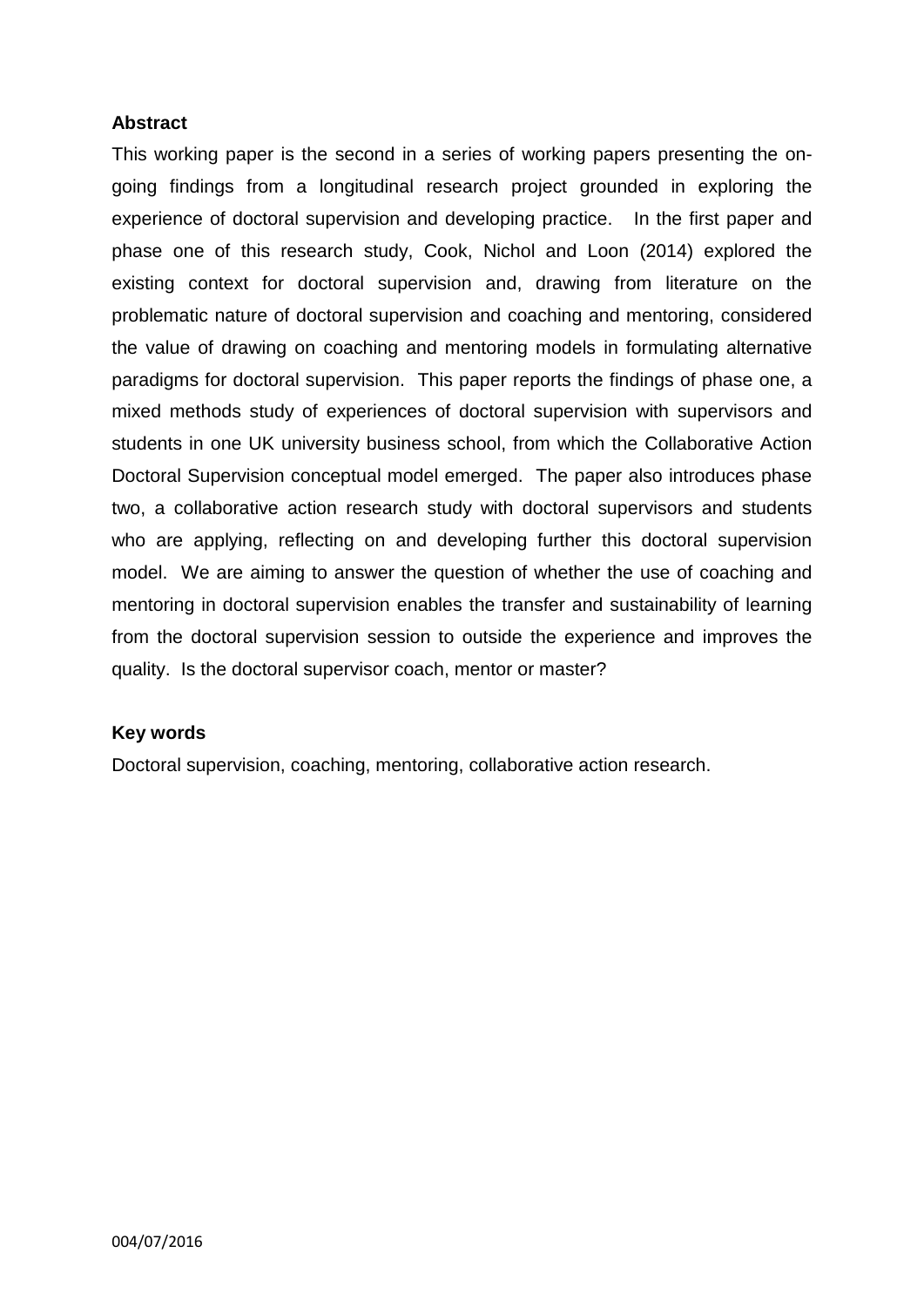## **Abstract**

This working paper is the second in a series of working papers presenting the ongoing findings from a longitudinal research project grounded in exploring the experience of doctoral supervision and developing practice. In the first paper and phase one of this research study, Cook, Nichol and Loon (2014) explored the existing context for doctoral supervision and, drawing from literature on the problematic nature of doctoral supervision and coaching and mentoring, considered the value of drawing on coaching and mentoring models in formulating alternative paradigms for doctoral supervision. This paper reports the findings of phase one, a mixed methods study of experiences of doctoral supervision with supervisors and students in one UK university business school, from which the Collaborative Action Doctoral Supervision conceptual model emerged. The paper also introduces phase two, a collaborative action research study with doctoral supervisors and students who are applying, reflecting on and developing further this doctoral supervision model. We are aiming to answer the question of whether the use of coaching and mentoring in doctoral supervision enables the transfer and sustainability of learning from the doctoral supervision session to outside the experience and improves the quality. Is the doctoral supervisor coach, mentor or master?

#### **Key words**

Doctoral supervision, coaching, mentoring, collaborative action research.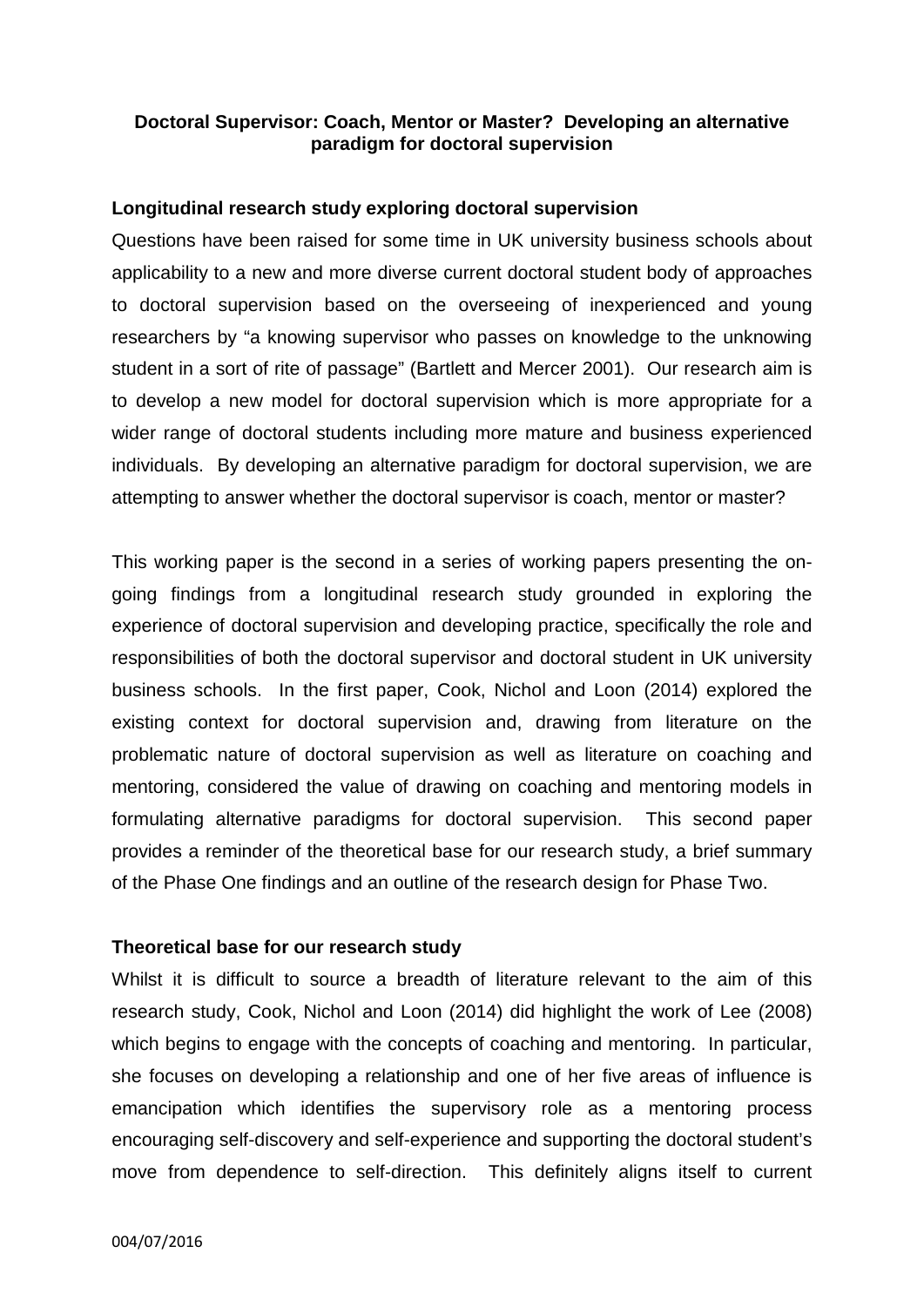#### **Doctoral Supervisor: Coach, Mentor or Master? Developing an alternative paradigm for doctoral supervision**

#### **Longitudinal research study exploring doctoral supervision**

Questions have been raised for some time in UK university business schools about applicability to a new and more diverse current doctoral student body of approaches to doctoral supervision based on the overseeing of inexperienced and young researchers by "a knowing supervisor who passes on knowledge to the unknowing student in a sort of rite of passage" (Bartlett and Mercer 2001). Our research aim is to develop a new model for doctoral supervision which is more appropriate for a wider range of doctoral students including more mature and business experienced individuals. By developing an alternative paradigm for doctoral supervision, we are attempting to answer whether the doctoral supervisor is coach, mentor or master?

This working paper is the second in a series of working papers presenting the ongoing findings from a longitudinal research study grounded in exploring the experience of doctoral supervision and developing practice, specifically the role and responsibilities of both the doctoral supervisor and doctoral student in UK university business schools. In the first paper, Cook, Nichol and Loon (2014) explored the existing context for doctoral supervision and, drawing from literature on the problematic nature of doctoral supervision as well as literature on coaching and mentoring, considered the value of drawing on coaching and mentoring models in formulating alternative paradigms for doctoral supervision. This second paper provides a reminder of the theoretical base for our research study, a brief summary of the Phase One findings and an outline of the research design for Phase Two.

#### **Theoretical base for our research study**

Whilst it is difficult to source a breadth of literature relevant to the aim of this research study, Cook, Nichol and Loon (2014) did highlight the work of Lee (2008) which begins to engage with the concepts of coaching and mentoring. In particular, she focuses on developing a relationship and one of her five areas of influence is emancipation which identifies the supervisory role as a mentoring process encouraging self-discovery and self-experience and supporting the doctoral student's move from dependence to self-direction. This definitely aligns itself to current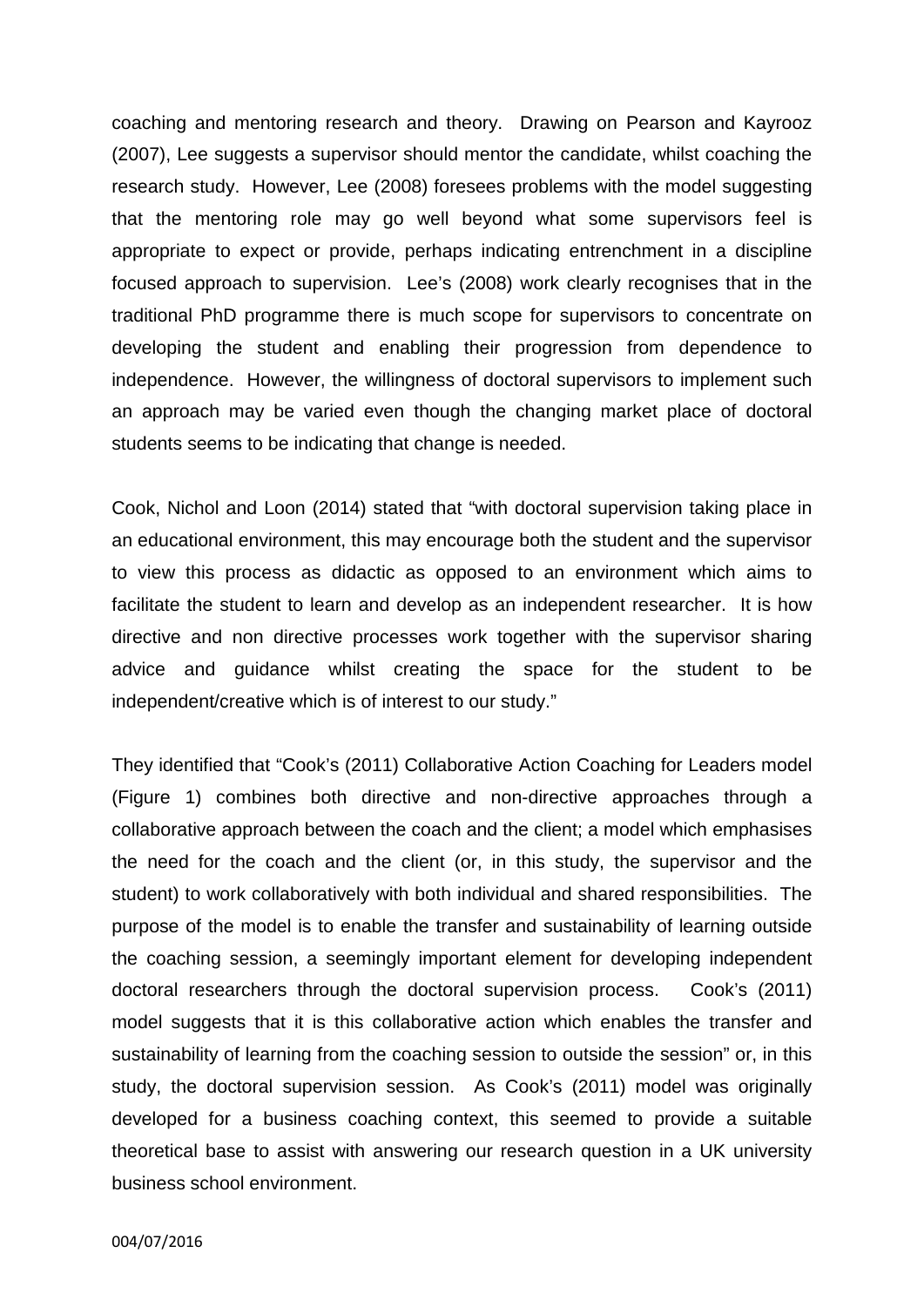coaching and mentoring research and theory. Drawing on Pearson and Kayrooz (2007), Lee suggests a supervisor should mentor the candidate, whilst coaching the research study. However, Lee (2008) foresees problems with the model suggesting that the mentoring role may go well beyond what some supervisors feel is appropriate to expect or provide, perhaps indicating entrenchment in a discipline focused approach to supervision. Lee's (2008) work clearly recognises that in the traditional PhD programme there is much scope for supervisors to concentrate on developing the student and enabling their progression from dependence to independence. However, the willingness of doctoral supervisors to implement such an approach may be varied even though the changing market place of doctoral students seems to be indicating that change is needed.

Cook, Nichol and Loon (2014) stated that "with doctoral supervision taking place in an educational environment, this may encourage both the student and the supervisor to view this process as didactic as opposed to an environment which aims to facilitate the student to learn and develop as an independent researcher. It is how directive and non directive processes work together with the supervisor sharing advice and guidance whilst creating the space for the student to be independent/creative which is of interest to our study."

They identified that "Cook's (2011) Collaborative Action Coaching for Leaders model (Figure 1) combines both directive and non-directive approaches through a collaborative approach between the coach and the client; a model which emphasises the need for the coach and the client (or, in this study, the supervisor and the student) to work collaboratively with both individual and shared responsibilities. The purpose of the model is to enable the transfer and sustainability of learning outside the coaching session, a seemingly important element for developing independent doctoral researchers through the doctoral supervision process. Cook's (2011) model suggests that it is this collaborative action which enables the transfer and sustainability of learning from the coaching session to outside the session" or, in this study, the doctoral supervision session. As Cook's (2011) model was originally developed for a business coaching context, this seemed to provide a suitable theoretical base to assist with answering our research question in a UK university business school environment.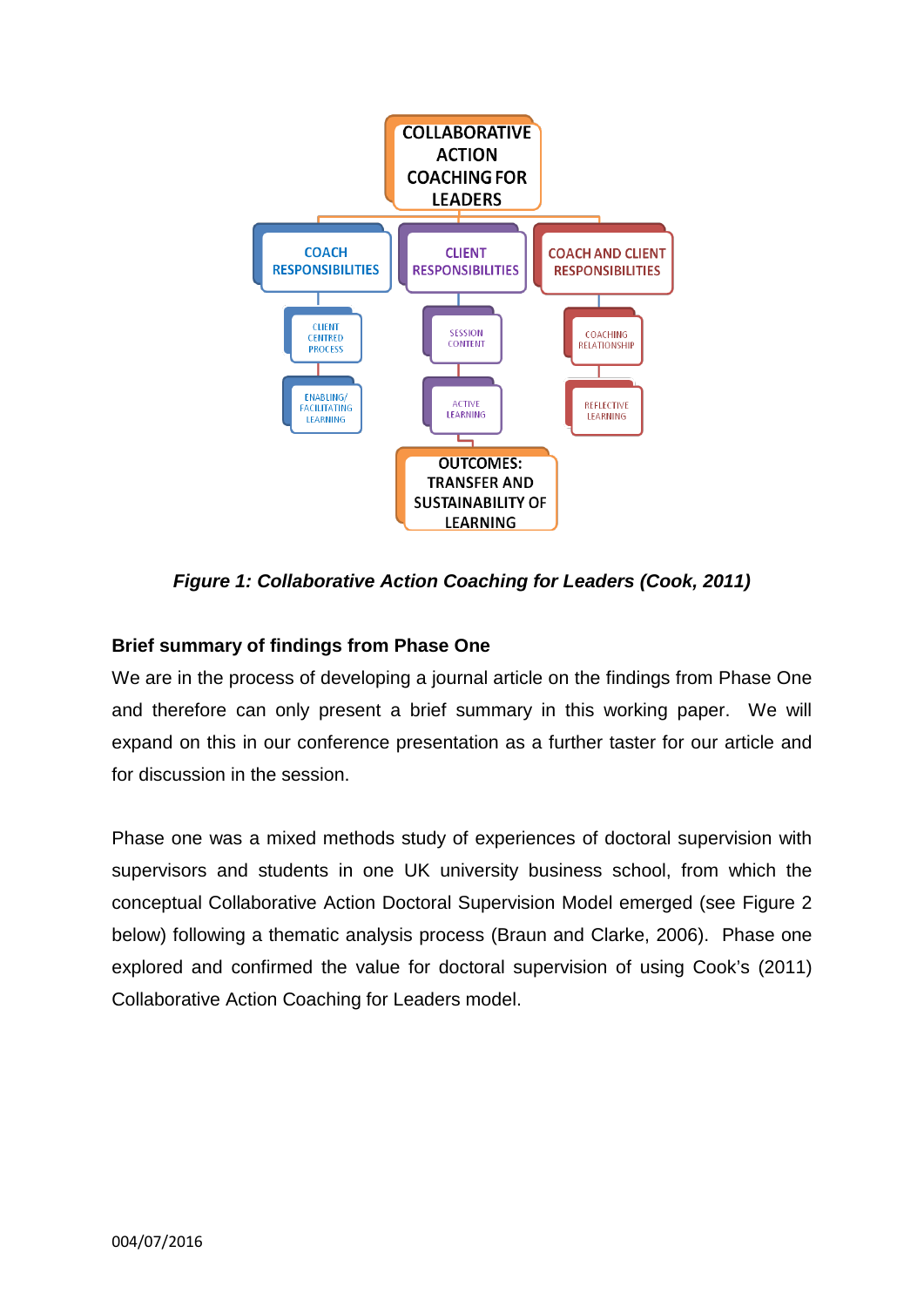

*Figure 1: Collaborative Action Coaching for Leaders (Cook, 2011)*

## **Brief summary of findings from Phase One**

We are in the process of developing a journal article on the findings from Phase One and therefore can only present a brief summary in this working paper. We will expand on this in our conference presentation as a further taster for our article and for discussion in the session.

Phase one was a mixed methods study of experiences of doctoral supervision with supervisors and students in one UK university business school, from which the conceptual Collaborative Action Doctoral Supervision Model emerged (see Figure 2 below) following a thematic analysis process (Braun and Clarke, 2006). Phase one explored and confirmed the value for doctoral supervision of using Cook's (2011) Collaborative Action Coaching for Leaders model.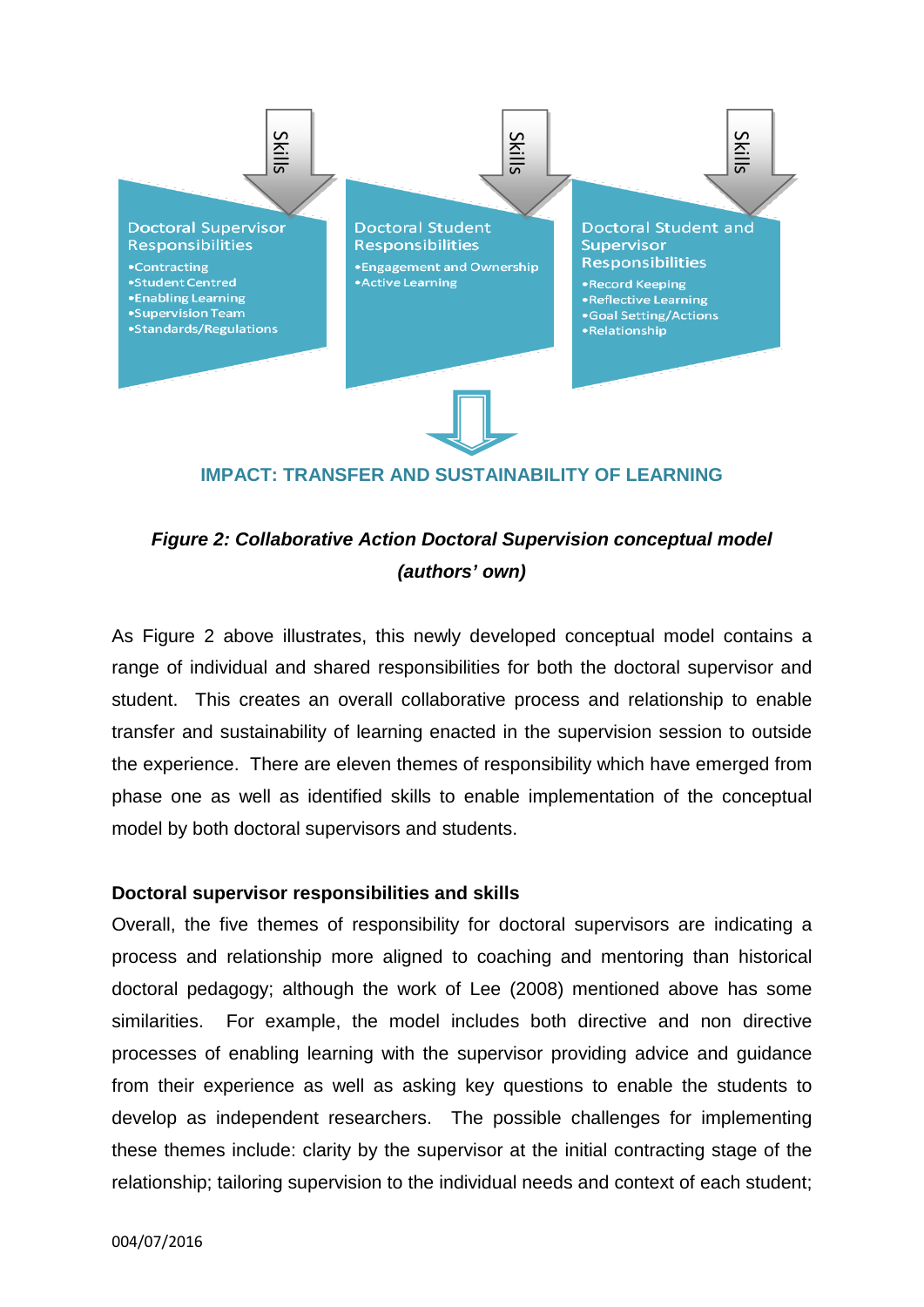

#### **IMPACT: TRANSFER AND SUSTAINABILITY OF LEARNING**

# *Figure 2: Collaborative Action Doctoral Supervision conceptual model (authors' own)*

As Figure 2 above illustrates, this newly developed conceptual model contains a range of individual and shared responsibilities for both the doctoral supervisor and student. This creates an overall collaborative process and relationship to enable transfer and sustainability of learning enacted in the supervision session to outside the experience. There are eleven themes of responsibility which have emerged from phase one as well as identified skills to enable implementation of the conceptual model by both doctoral supervisors and students.

#### **Doctoral supervisor responsibilities and skills**

Overall, the five themes of responsibility for doctoral supervisors are indicating a process and relationship more aligned to coaching and mentoring than historical doctoral pedagogy; although the work of Lee (2008) mentioned above has some similarities. For example, the model includes both directive and non directive processes of enabling learning with the supervisor providing advice and guidance from their experience as well as asking key questions to enable the students to develop as independent researchers. The possible challenges for implementing these themes include: clarity by the supervisor at the initial contracting stage of the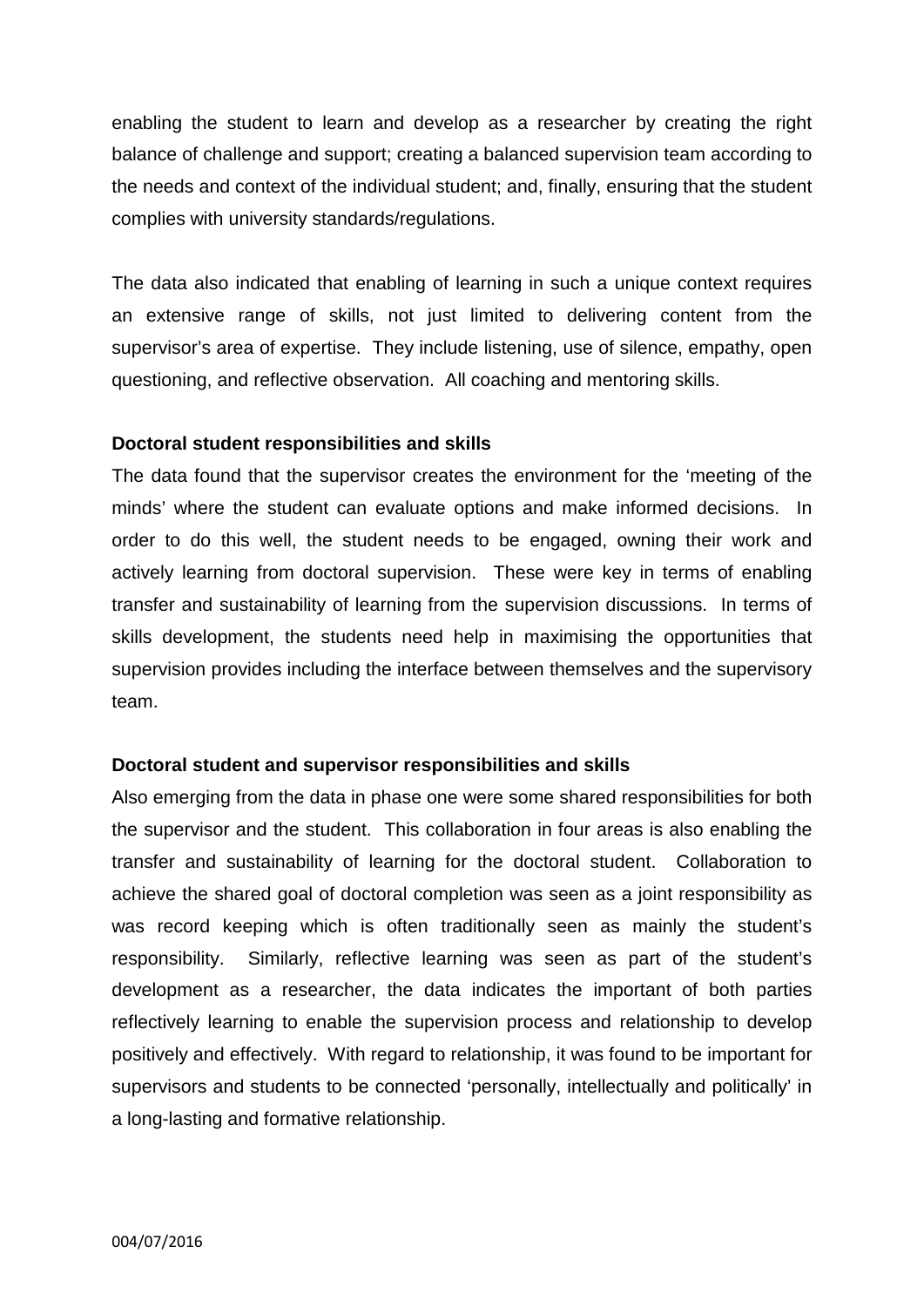enabling the student to learn and develop as a researcher by creating the right balance of challenge and support; creating a balanced supervision team according to the needs and context of the individual student; and, finally, ensuring that the student complies with university standards/regulations.

The data also indicated that enabling of learning in such a unique context requires an extensive range of skills, not just limited to delivering content from the supervisor's area of expertise. They include listening, use of silence, empathy, open questioning, and reflective observation. All coaching and mentoring skills.

## **Doctoral student responsibilities and skills**

The data found that the supervisor creates the environment for the 'meeting of the minds' where the student can evaluate options and make informed decisions. In order to do this well, the student needs to be engaged, owning their work and actively learning from doctoral supervision. These were key in terms of enabling transfer and sustainability of learning from the supervision discussions. In terms of skills development, the students need help in maximising the opportunities that supervision provides including the interface between themselves and the supervisory team.

#### **Doctoral student and supervisor responsibilities and skills**

Also emerging from the data in phase one were some shared responsibilities for both the supervisor and the student. This collaboration in four areas is also enabling the transfer and sustainability of learning for the doctoral student. Collaboration to achieve the shared goal of doctoral completion was seen as a joint responsibility as was record keeping which is often traditionally seen as mainly the student's responsibility. Similarly, reflective learning was seen as part of the student's development as a researcher, the data indicates the important of both parties reflectively learning to enable the supervision process and relationship to develop positively and effectively. With regard to relationship, it was found to be important for supervisors and students to be connected 'personally, intellectually and politically' in a long-lasting and formative relationship.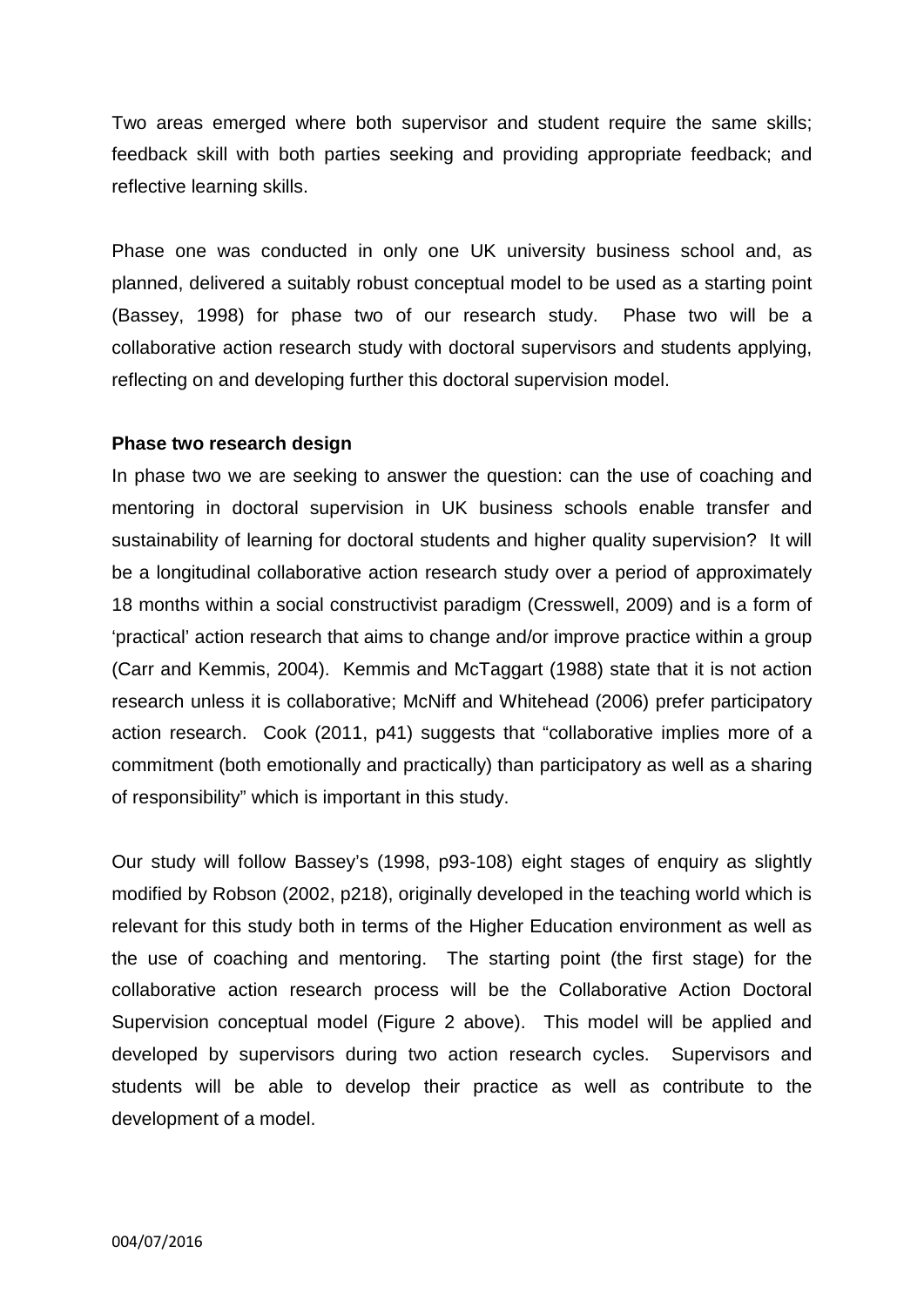Two areas emerged where both supervisor and student require the same skills; feedback skill with both parties seeking and providing appropriate feedback; and reflective learning skills.

Phase one was conducted in only one UK university business school and, as planned, delivered a suitably robust conceptual model to be used as a starting point (Bassey, 1998) for phase two of our research study. Phase two will be a collaborative action research study with doctoral supervisors and students applying, reflecting on and developing further this doctoral supervision model.

#### **Phase two research design**

In phase two we are seeking to answer the question: can the use of coaching and mentoring in doctoral supervision in UK business schools enable transfer and sustainability of learning for doctoral students and higher quality supervision? It will be a longitudinal collaborative action research study over a period of approximately 18 months within a social constructivist paradigm (Cresswell, 2009) and is a form of 'practical' action research that aims to change and/or improve practice within a group (Carr and Kemmis, 2004). Kemmis and McTaggart (1988) state that it is not action research unless it is collaborative; McNiff and Whitehead (2006) prefer participatory action research. Cook (2011, p41) suggests that "collaborative implies more of a commitment (both emotionally and practically) than participatory as well as a sharing of responsibility" which is important in this study.

Our study will follow Bassey's (1998, p93-108) eight stages of enquiry as slightly modified by Robson (2002, p218), originally developed in the teaching world which is relevant for this study both in terms of the Higher Education environment as well as the use of coaching and mentoring. The starting point (the first stage) for the collaborative action research process will be the Collaborative Action Doctoral Supervision conceptual model (Figure 2 above). This model will be applied and developed by supervisors during two action research cycles. Supervisors and students will be able to develop their practice as well as contribute to the development of a model.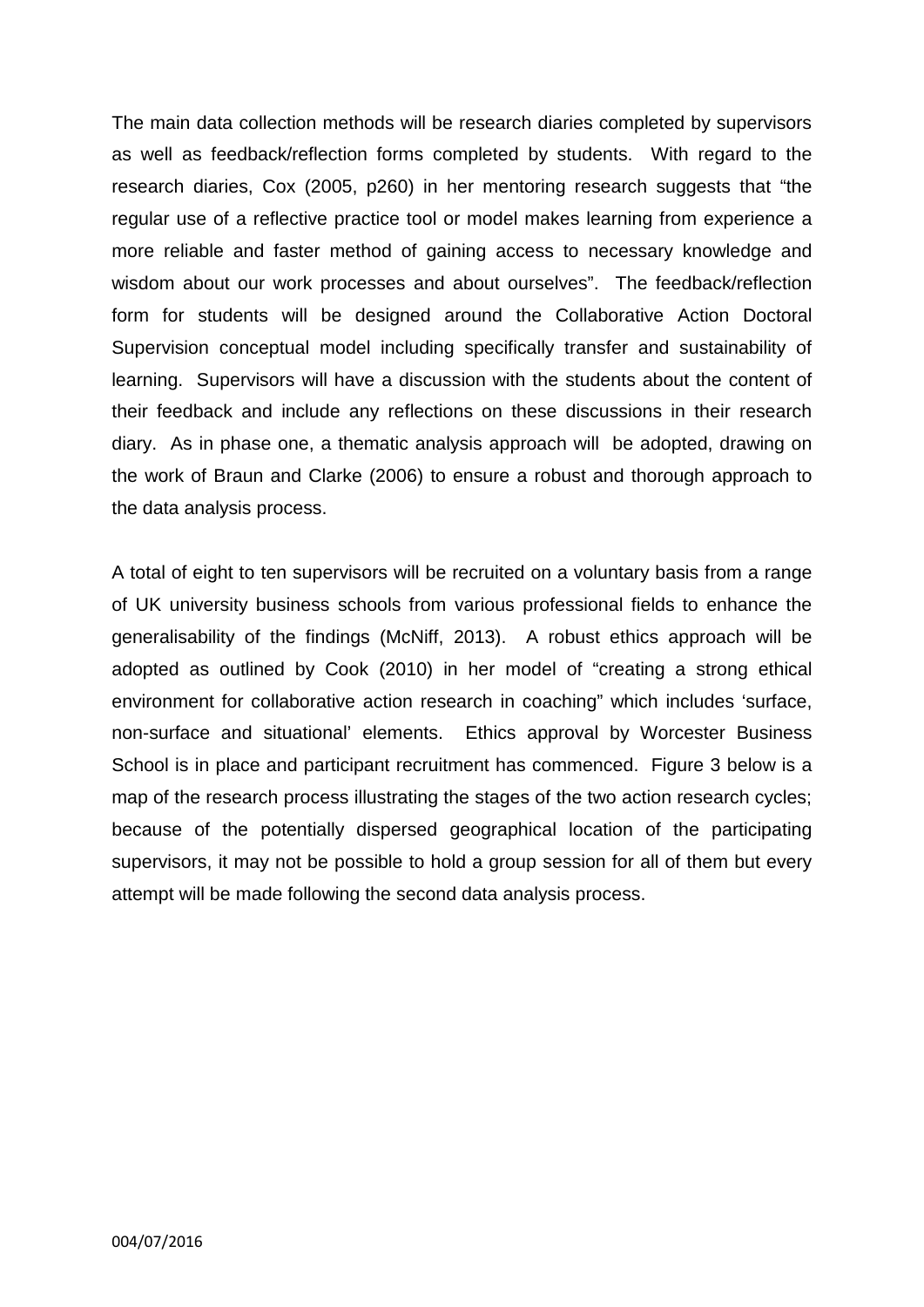The main data collection methods will be research diaries completed by supervisors as well as feedback/reflection forms completed by students. With regard to the research diaries, Cox (2005, p260) in her mentoring research suggests that "the regular use of a reflective practice tool or model makes learning from experience a more reliable and faster method of gaining access to necessary knowledge and wisdom about our work processes and about ourselves". The feedback/reflection form for students will be designed around the Collaborative Action Doctoral Supervision conceptual model including specifically transfer and sustainability of learning. Supervisors will have a discussion with the students about the content of their feedback and include any reflections on these discussions in their research diary. As in phase one, a thematic analysis approach will be adopted, drawing on the work of Braun and Clarke (2006) to ensure a robust and thorough approach to the data analysis process.

A total of eight to ten supervisors will be recruited on a voluntary basis from a range of UK university business schools from various professional fields to enhance the generalisability of the findings (McNiff, 2013). A robust ethics approach will be adopted as outlined by Cook (2010) in her model of "creating a strong ethical environment for collaborative action research in coaching" which includes 'surface, non-surface and situational' elements. Ethics approval by Worcester Business School is in place and participant recruitment has commenced. Figure 3 below is a map of the research process illustrating the stages of the two action research cycles; because of the potentially dispersed geographical location of the participating supervisors, it may not be possible to hold a group session for all of them but every attempt will be made following the second data analysis process.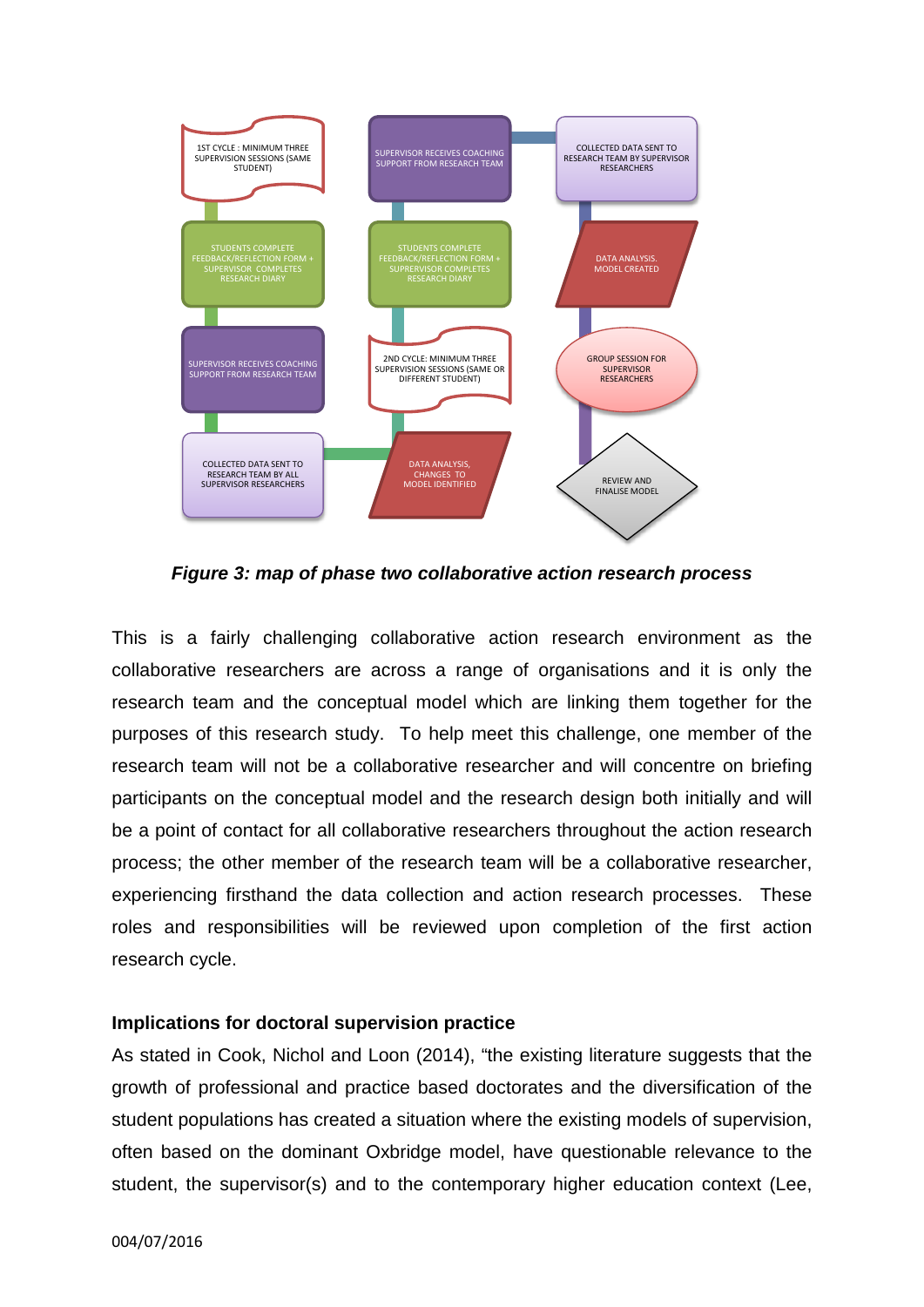

*Figure 3: map of phase two collaborative action research process*

This is a fairly challenging collaborative action research environment as the collaborative researchers are across a range of organisations and it is only the research team and the conceptual model which are linking them together for the purposes of this research study. To help meet this challenge, one member of the research team will not be a collaborative researcher and will concentre on briefing participants on the conceptual model and the research design both initially and will be a point of contact for all collaborative researchers throughout the action research process; the other member of the research team will be a collaborative researcher, experiencing firsthand the data collection and action research processes. These roles and responsibilities will be reviewed upon completion of the first action research cycle.

#### **Implications for doctoral supervision practice**

As stated in Cook, Nichol and Loon (2014), "the existing literature suggests that the growth of professional and practice based doctorates and the diversification of the student populations has created a situation where the existing models of supervision, often based on the dominant Oxbridge model, have questionable relevance to the student, the supervisor(s) and to the contemporary higher education context (Lee,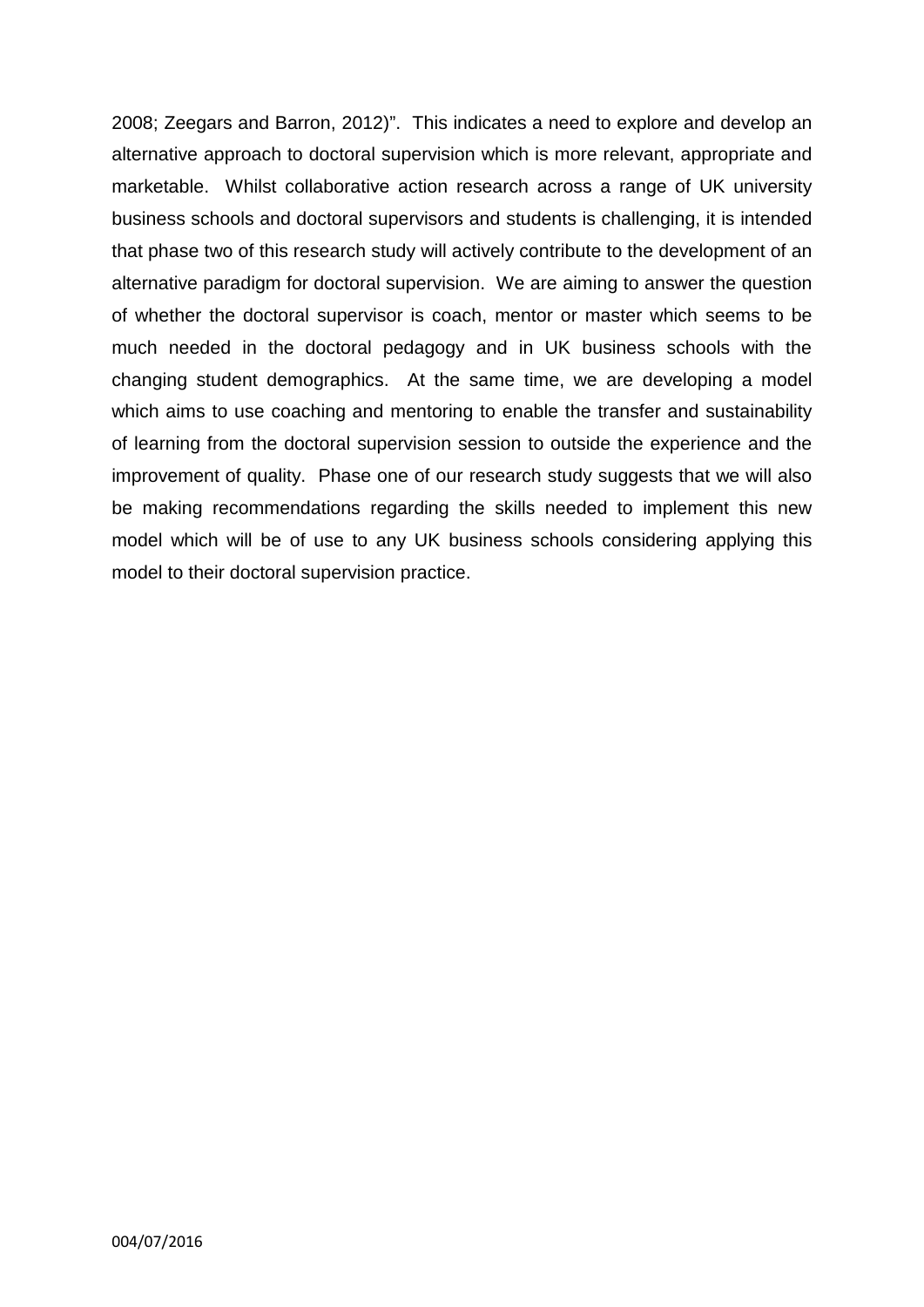2008; Zeegars and Barron, 2012)". This indicates a need to explore and develop an alternative approach to doctoral supervision which is more relevant, appropriate and marketable. Whilst collaborative action research across a range of UK university business schools and doctoral supervisors and students is challenging, it is intended that phase two of this research study will actively contribute to the development of an alternative paradigm for doctoral supervision. We are aiming to answer the question of whether the doctoral supervisor is coach, mentor or master which seems to be much needed in the doctoral pedagogy and in UK business schools with the changing student demographics. At the same time, we are developing a model which aims to use coaching and mentoring to enable the transfer and sustainability of learning from the doctoral supervision session to outside the experience and the improvement of quality. Phase one of our research study suggests that we will also be making recommendations regarding the skills needed to implement this new model which will be of use to any UK business schools considering applying this model to their doctoral supervision practice.